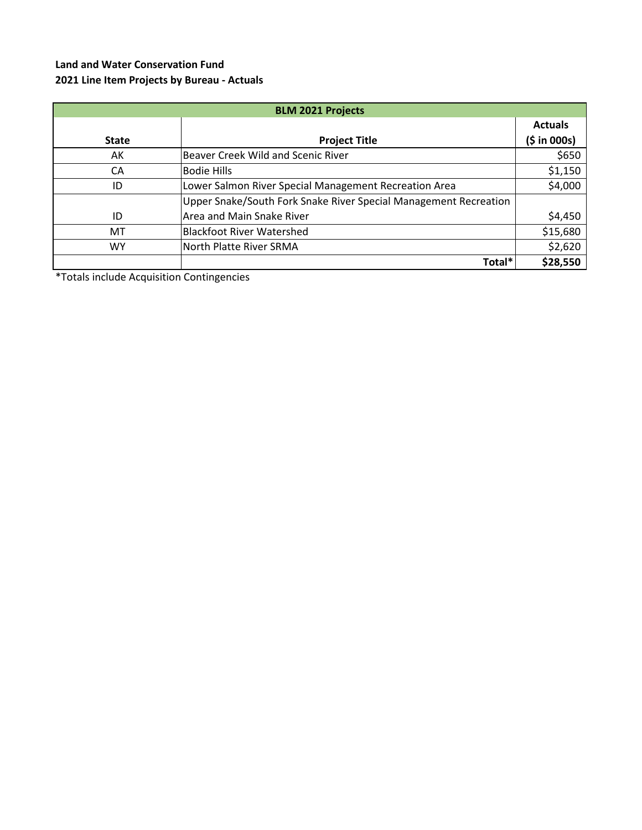## **Land and Water Conservation Fund 2021 Line Item Projects by Bureau - Actuals**

| <b>BLM 2021 Projects</b> |                                                                  |                |  |
|--------------------------|------------------------------------------------------------------|----------------|--|
|                          |                                                                  | <b>Actuals</b> |  |
| <b>State</b>             | <b>Project Title</b>                                             | (5 in 000s)    |  |
| AK                       | Beaver Creek Wild and Scenic River                               | \$650          |  |
| CA                       | <b>Bodie Hills</b>                                               | \$1,150        |  |
| ID                       | Lower Salmon River Special Management Recreation Area            | \$4,000        |  |
|                          | Upper Snake/South Fork Snake River Special Management Recreation |                |  |
| ID                       | Area and Main Snake River                                        | \$4,450        |  |
| MT                       | <b>Blackfoot River Watershed</b>                                 | \$15,680       |  |
| W٢                       | North Platte River SRMA                                          | \$2,620        |  |
|                          | Total*                                                           | \$28,550       |  |

\*Totals include Acquisition Contingencies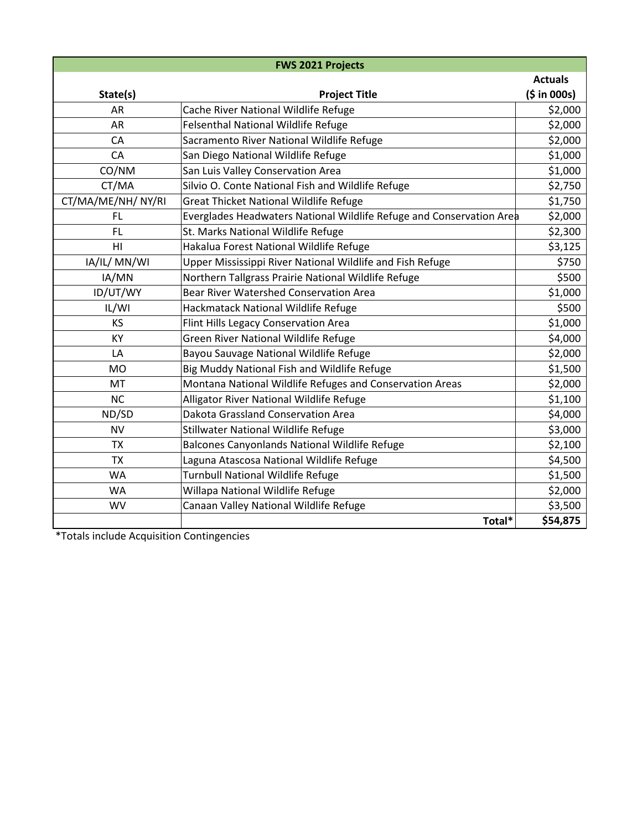| <b>FWS 2021 Projects</b> |                                                                      |                |  |  |
|--------------------------|----------------------------------------------------------------------|----------------|--|--|
|                          |                                                                      | <b>Actuals</b> |  |  |
| State(s)                 | <b>Project Title</b>                                                 | (5 in 000s)    |  |  |
| <b>AR</b>                | Cache River National Wildlife Refuge                                 | \$2,000        |  |  |
| AR                       | <b>Felsenthal National Wildlife Refuge</b>                           | \$2,000        |  |  |
| CA                       | Sacramento River National Wildlife Refuge                            | \$2,000        |  |  |
| CA                       | San Diego National Wildlife Refuge                                   | \$1,000        |  |  |
| CO/NM                    | San Luis Valley Conservation Area                                    | \$1,000        |  |  |
| CT/MA                    | Silvio O. Conte National Fish and Wildlife Refuge                    | \$2,750        |  |  |
| CT/MA/ME/NH/ NY/RI       | <b>Great Thicket National Wildlife Refuge</b>                        | \$1,750        |  |  |
| <b>FL</b>                | Everglades Headwaters National Wildlife Refuge and Conservation Area | \$2,000        |  |  |
| <b>FL</b>                | St. Marks National Wildlife Refuge                                   | \$2,300        |  |  |
| HI                       | Hakalua Forest National Wildlife Refuge                              | \$3,125        |  |  |
| IA/IL/ MN/WI             | Upper Mississippi River National Wildlife and Fish Refuge            | \$750          |  |  |
| IA/MN                    | Northern Tallgrass Prairie National Wildlife Refuge                  | \$500          |  |  |
| ID/UT/WY                 | <b>Bear River Watershed Conservation Area</b>                        | \$1,000        |  |  |
| IL/WI                    | Hackmatack National Wildlife Refuge                                  | \$500          |  |  |
| <b>KS</b>                | Flint Hills Legacy Conservation Area                                 | \$1,000        |  |  |
| KY                       | <b>Green River National Wildlife Refuge</b>                          | \$4,000        |  |  |
| LA                       | Bayou Sauvage National Wildlife Refuge                               | \$2,000        |  |  |
| <b>MO</b>                | Big Muddy National Fish and Wildlife Refuge                          | \$1,500        |  |  |
| MT                       | Montana National Wildlife Refuges and Conservation Areas             | \$2,000        |  |  |
| <b>NC</b>                | Alligator River National Wildlife Refuge                             | \$1,100        |  |  |
| ND/SD                    | Dakota Grassland Conservation Area                                   | \$4,000        |  |  |
| <b>NV</b>                | Stillwater National Wildlife Refuge                                  | \$3,000        |  |  |
| <b>TX</b>                | Balcones Canyonlands National Wildlife Refuge                        | \$2,100        |  |  |
| <b>TX</b>                | Laguna Atascosa National Wildlife Refuge                             | \$4,500        |  |  |
| WA                       | Turnbull National Wildlife Refuge                                    | \$1,500        |  |  |
| <b>WA</b>                | Willapa National Wildlife Refuge                                     | \$2,000        |  |  |
| WV                       | Canaan Valley National Wildlife Refuge                               | \$3,500        |  |  |
|                          | Total*                                                               | \$54,875       |  |  |

\*Totals include Acquisition Contingencies